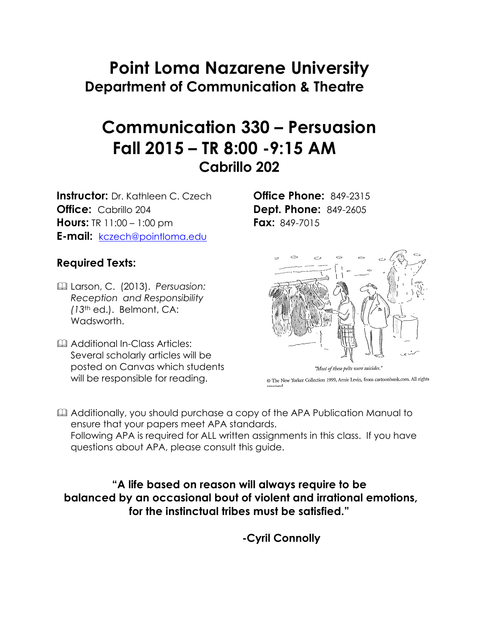# **Point Loma Nazarene University Department of Communication & Theatre**

# **Communication 330 – Persuasion Fall 2015 – TR 8:00 -9:15 AM Cabrillo 202**

**Instructor:** Dr. Kathleen C. Czech **Office Phone:** 849-2315 **Office:** Cabrillo 204 **Dept. Phone:** 849-2605 **Hours:** TR 11:00 – 1:00 pm **Fax:** 849-7015 **E-mail:** kczech@pointloma.edu

#### **Required Texts:**

- & Larson, C. (2013). *Persuasion: Reception and Responsibility (13*th ed.). Belmont, CA: Wadsworth.
- & Additional In-Class Articles: Several scholarly articles will be posted on Canvas which students will be responsible for reading.



"Most of these pelts were suicides."

@ The New Yorker Collection 1999, Arnie Levin, from cartoonbank.com. All rights

Additionally, you should purchase a copy of the APA Publication Manual to ensure that your papers meet APA standards.

Following APA is required for ALL written assignments in this class. If you have questions about APA, please consult this guide.

**"A life based on reason will always require to be balanced by an occasional bout of violent and irrational emotions, for the instinctual tribes must be satisfied."**

**-Cyril Connolly**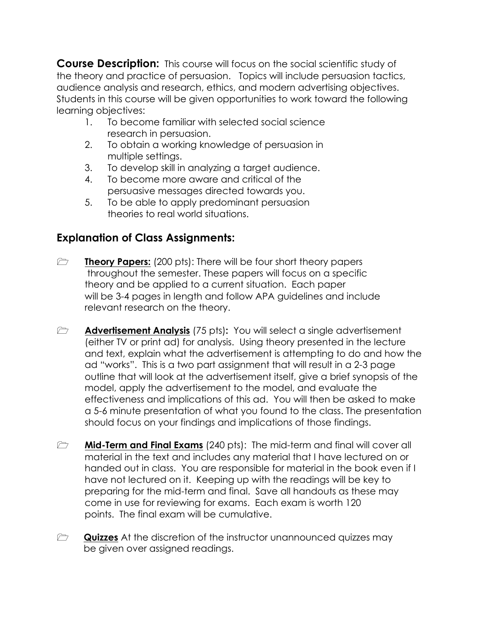**Course Description:** This course will focus on the social scientific study of the theory and practice of persuasion. Topics will include persuasion tactics, audience analysis and research, ethics, and modern advertising objectives. Students in this course will be given opportunities to work toward the following learning objectives:

- 1. To become familiar with selected social science research in persuasion.
- 2. To obtain a working knowledge of persuasion in multiple settings.
- 3. To develop skill in analyzing a target audience.
- 4. To become more aware and critical of the persuasive messages directed towards you.
- 5. To be able to apply predominant persuasion theories to real world situations.

# **Explanation of Class Assignments:**

- **1 Theory Papers:** (200 pts): There will be four short theory papers throughout the semester. These papers will focus on a specific theory and be applied to a current situation. Each paper will be 3-4 pages in length and follow APA guidelines and include relevant research on the theory.
- **1 Advertisement Analysis** (75 pts): You will select a single advertisement (either TV or print ad) for analysis. Using theory presented in the lecture and text, explain what the advertisement is attempting to do and how the ad "works". This is a two part assignment that will result in a 2-3 page outline that will look at the advertisement itself, give a brief synopsis of the model, apply the advertisement to the model, and evaluate the effectiveness and implications of this ad. You will then be asked to make a 5-6 minute presentation of what you found to the class. The presentation should focus on your findings and implications of those findings.
- **1 Mid-Term and Final Exams** (240 pts): The mid-term and final will cover all material in the text and includes any material that I have lectured on or handed out in class. You are responsible for material in the book even if I have not lectured on it. Keeping up with the readings will be key to preparing for the mid-term and final. Save all handouts as these may come in use for reviewing for exams. Each exam is worth 120 points. The final exam will be cumulative.
- **2 Quizzes** At the discretion of the instructor unannounced quizzes may be given over assigned readings.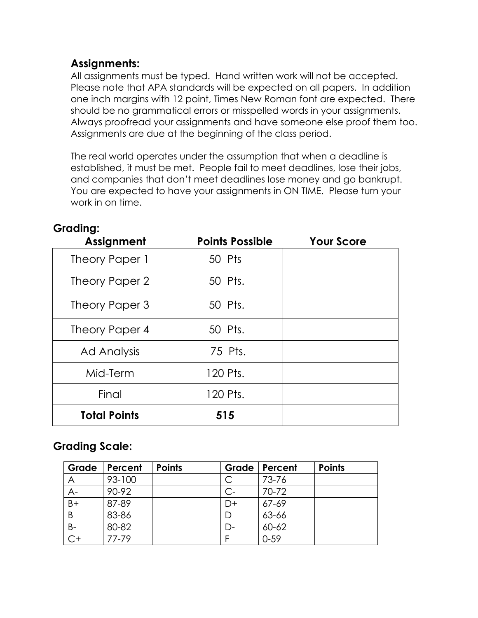## **Assignments:**

All assignments must be typed. Hand written work will not be accepted. Please note that APA standards will be expected on all papers. In addition one inch margins with 12 point, Times New Roman font are expected. There should be no grammatical errors or misspelled words in your assignments. Always proofread your assignments and have someone else proof them too. Assignments are due at the beginning of the class period.

The real world operates under the assumption that when a deadline is established, it must be met. People fail to meet deadlines, lose their jobs, and companies that don't meet deadlines lose money and go bankrupt. You are expected to have your assignments in ON TIME. Please turn your work in on time.

| Assignment          | <b>Points Possible</b> | <b>Your Score</b> |
|---------------------|------------------------|-------------------|
| Theory Paper 1      | 50 Pts                 |                   |
| Theory Paper 2      | 50 Pts.                |                   |
| Theory Paper 3      | 50 Pts.                |                   |
| Theory Paper 4      | 50 Pts.                |                   |
| Ad Analysis         | 75 Pts.                |                   |
| Mid-Term            | 120 Pts.               |                   |
| Final               | 120 Pts.               |                   |
| <b>Total Points</b> | 515                    |                   |

#### **Grading:**

## **Grading Scale:**

| Grade           | Percent   | <b>Points</b> | Grade | Percent   | <b>Points</b> |
|-----------------|-----------|---------------|-------|-----------|---------------|
| $\overline{A}$  | 93-100    |               |       | 73-76     |               |
| $A -$           | 90-92     |               | C-    | 70-72     |               |
| $\overline{B+}$ | 87-89     |               | 7+    | $67 - 69$ |               |
| B               | 83-86     |               |       | 63-66     |               |
| $B-$            | 80-82     |               |       | 60-62     |               |
|                 | $77 - 79$ |               |       | $0 - 59$  |               |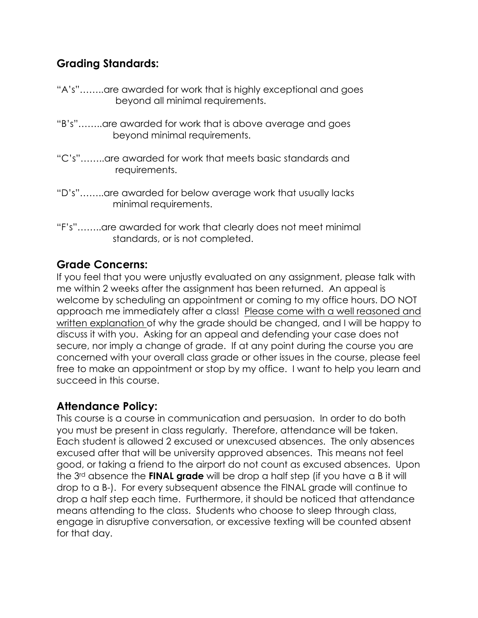## **Grading Standards:**

- "A's"……..are awarded for work that is highly exceptional and goes beyond all minimal requirements.
- "B's"……..are awarded for work that is above average and goes beyond minimal requirements.
- "C's"……..are awarded for work that meets basic standards and requirements.
- "D's"……..are awarded for below average work that usually lacks minimal requirements.
- "F's"……..are awarded for work that clearly does not meet minimal standards, or is not completed.

## **Grade Concerns:**

If you feel that you were unjustly evaluated on any assignment, please talk with me within 2 weeks after the assignment has been returned. An appeal is welcome by scheduling an appointment or coming to my office hours. DO NOT approach me immediately after a class! Please come with a well reasoned and written explanation of why the grade should be changed, and I will be happy to discuss it with you. Asking for an appeal and defending your case does not secure, nor imply a change of grade. If at any point during the course you are concerned with your overall class grade or other issues in the course, please feel free to make an appointment or stop by my office. I want to help you learn and succeed in this course.

# **Attendance Policy:**

This course is a course in communication and persuasion. In order to do both you must be present in class regularly. Therefore, attendance will be taken. Each student is allowed 2 excused or unexcused absences. The only absences excused after that will be university approved absences. This means not feel good, or taking a friend to the airport do not count as excused absences. Upon the 3rd absence the **FINAL grade** will be drop a half step (if you have a B it will drop to a B-). For every subsequent absence the FINAL grade will continue to drop a half step each time. Furthermore, it should be noticed that attendance means attending to the class. Students who choose to sleep through class, engage in disruptive conversation, or excessive texting will be counted absent for that day.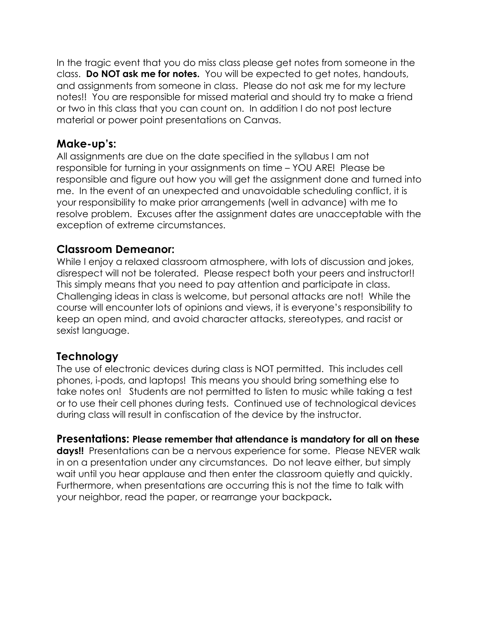In the tragic event that you do miss class please get notes from someone in the class. **Do NOT ask me for notes.** You will be expected to get notes, handouts, and assignments from someone in class. Please do not ask me for my lecture notes!! You are responsible for missed material and should try to make a friend or two in this class that you can count on. In addition I do not post lecture material or power point presentations on Canvas.

#### **Make-up's:**

All assignments are due on the date specified in the syllabus I am not responsible for turning in your assignments on time – YOU ARE! Please be responsible and figure out how you will get the assignment done and turned into me. In the event of an unexpected and unavoidable scheduling conflict, it is your responsibility to make prior arrangements (well in advance) with me to resolve problem. Excuses after the assignment dates are unacceptable with the exception of extreme circumstances.

#### **Classroom Demeanor:**

While I enjoy a relaxed classroom atmosphere, with lots of discussion and jokes, disrespect will not be tolerated. Please respect both your peers and instructor!! This simply means that you need to pay attention and participate in class. Challenging ideas in class is welcome, but personal attacks are not! While the course will encounter lots of opinions and views, it is everyone's responsibility to keep an open mind, and avoid character attacks, stereotypes, and racist or sexist language.

## **Technology**

The use of electronic devices during class is NOT permitted. This includes cell phones, i-pods, and laptops! This means you should bring something else to take notes on! Students are not permitted to listen to music while taking a test or to use their cell phones during tests. Continued use of technological devices during class will result in confiscation of the device by the instructor.

**Presentations: Please remember that attendance is mandatory for all on these days!!** Presentations can be a nervous experience for some. Please NEVER walk in on a presentation under any circumstances. Do not leave either, but simply wait until you hear applause and then enter the classroom quietly and quickly. Furthermore, when presentations are occurring this is not the time to talk with your neighbor, read the paper, or rearrange your backpack**.**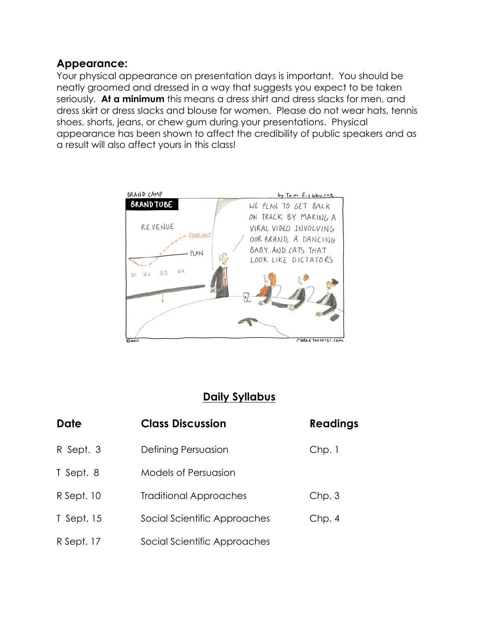#### **Appearance:**

Your physical appearance on presentation days is important. You should be neatly groomed and dressed in a way that suggests you expect to be taken seriously. **At a minimum** this means a dress shirt and dress slacks for men, and dress skirt or dress slacks and blouse for women. Please do not wear hats, tennis shoes, shorts, jeans, or chew gum during your presentations. Physical appearance has been shown to affect the credibility of public speakers and as a result will also affect yours in this class!



# **Daily Syllabus**

| Date       | <b>Class Discussion</b>       | <b>Readings</b> |
|------------|-------------------------------|-----------------|
| R Sept. 3  | Defining Persuasion           | Chp.1           |
| T Sept. 8  | <b>Models of Persuasion</b>   |                 |
| R Sept. 10 | <b>Traditional Approaches</b> | Chp.3           |
| T Sept. 15 | Social Scientific Approaches  | Chp.4           |
| R Sept. 17 | Social Scientific Approaches  |                 |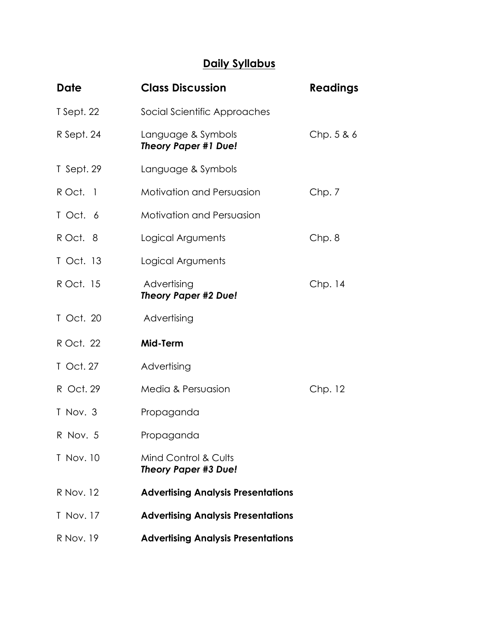# **Daily Syllabus**

| <b>Date</b> | <b>Class Discussion</b>                             | <b>Readings</b> |
|-------------|-----------------------------------------------------|-----------------|
| T Sept. 22  | Social Scientific Approaches                        |                 |
| R Sept. 24  | Language & Symbols<br><b>Theory Paper #1 Due!</b>   | Chp.5&6         |
| T Sept. 29  | Language & Symbols                                  |                 |
| R Oct. 1    | <b>Motivation and Persuasion</b>                    | Chp.7           |
| T Oct. 6    | <b>Motivation and Persuasion</b>                    |                 |
| R Oct. 8    | Logical Arguments                                   | Chp.8           |
| T Oct. 13   | Logical Arguments                                   |                 |
| R Oct. 15   | Advertising<br><b>Theory Paper #2 Due!</b>          | Chp.14          |
| T Oct. 20   | Advertising                                         |                 |
| R Oct. 22   | Mid-Term                                            |                 |
| T Oct. 27   | Advertising                                         |                 |
| R Oct. 29   | Media & Persuasion                                  | Chp. 12         |
| T Nov. 3    | Propaganda                                          |                 |
| R Nov. 5    | Propaganda                                          |                 |
| T Nov. 10   | Mind Control & Cults<br><b>Theory Paper #3 Due!</b> |                 |
| R Nov. 12   | <b>Advertising Analysis Presentations</b>           |                 |
| T Nov. 17   | <b>Advertising Analysis Presentations</b>           |                 |
| R Nov. 19   | <b>Advertising Analysis Presentations</b>           |                 |